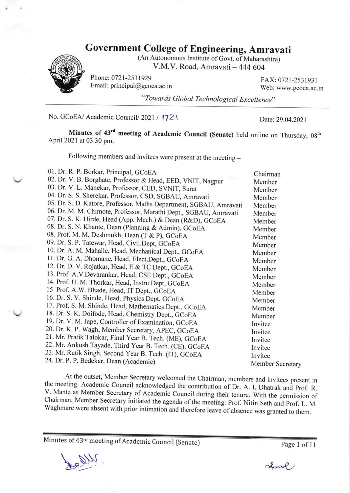## Government College of Engineering, Amravati



(An Autonomous Institute of Govt. of Maharashtra) V.M.V. Road, Amravati - 444 604

Phone: 0721-2531929 FAX: 0721-2531931 Email: principal@gcoea.ac.in Web: www.gcoea.ac.in

"Towards Global Technological Excellence"

No. GCoEA/ Academic Council/ 2021 / 17Z\ Date: 29.04.2021

Minutes of 43<sup>rd</sup> meeting of Academic Council (Senate) held online on Thursday, 08<sup>th</sup> April202l at 03.30 pm.

Following members and invitees were present at the meeting -

| 01. Dr. R. P. Borkar, Principal, GCoEA                             | Chairman         |
|--------------------------------------------------------------------|------------------|
| 02. Dr. V. B. Borghate, Professor & Head, EED, VNIT, Nagpur        | Member           |
| 03. Dr. V. L. Manekar, Professor, CED, SVNIT, Surat                | Member           |
| 04. Dr. S. S. Sherekar, Professor, CSD, SGBAU, Amravati            | Member           |
| 05. Dr. S. D. Katore, Professor, Maths Department, SGBAU, Amravati | Member           |
| 06. Dr. M. M. Chimote, Professor, Marathi Dept., SGBAU, Amravati   | Member           |
| 07. Dr. S. K. Hirde, Head (App. Mech.) & Dean (R&D), GCoEA         | Member           |
| 08. Dr. S. N. Khante, Dean (Planning & Admin), GCoEA               | Member           |
| 08. Prof. M. M. Deshmukh, Dean (T & P), GCoEA                      | Member           |
| 09. Dr. S. P. Tatewar, Head, Civil.Dept, GCoEA                     | Member           |
| 10. Dr. A. M. Mahalle, Head, Mechanical Dept., GCoEA               | Member           |
| 11. Dr. G. A. Dhomane, Head, Elect.Dept., GCoEA                    | Member           |
| 12. Dr. D. V. Rojatkar, Head, E & TC Dept., GCoEA                  | Member           |
| 13. Prof. A.V.Devarankar, Head, CSE Dept., GCoEA                   | Member           |
| 14. Prof. U. M. Thorkar, Head, Instru Dept, GCoEA                  | Member           |
| 15 Prof. A.W. Bhade, Head, IT Dept., GCoEA                         | Member           |
| 16. Dr. S. V. Shinde, Head, Physics Dept, GCoEA                    | Member           |
| 17. Prof. S. M. Shinde, Head, Mathematics Dept., GCoEA             | Member           |
| 18. Dr. S. K. Doifode, Head, Chemistry Dept., GCoEA                | Member           |
| 19. Dr. V. M. Jape, Controller of Examination, GCoEA               | Invitee          |
| 20. Dr. K. P. Wagh, Member Secretary, APEC, GCoEA                  | Invitee          |
| 21. Mr. Pratik Talokar, Final Year B. Tech. (ME), GCoEA            | Invitee          |
| 22. Mr. Ankush Tayade, Third Year B. Tech. (CE), GCoEA             | Invitee          |
| 23. Mr. Rutik Singh, Second Year B. Tech. (IT), GCoEA              | Invitee          |
| 24. Dr. P. P. Bedekar, Dean (Academic)                             | Member Secretary |
|                                                                    |                  |

At the outset, Member Secretary welcomed the Chairman, members and invitees present in<br>the meeting. Academic Council acknowledged the contribution of Dr. A. I. Dhatrak and Prof. R.<br>V. Mante as Member Secretary of Academic ""<br>antec Chairman, Member Secretary initiated the agenda of the meeting. Prof. Nitin Seth and Prof. L. M.<br>Waghmare were absent with prior intimation and therefore leave of absence was granted to them.

Minutes of 43<sup>rd</sup> meeting of Academic Council (Senate) Page 1 of 11

Le Divi

 $clump$